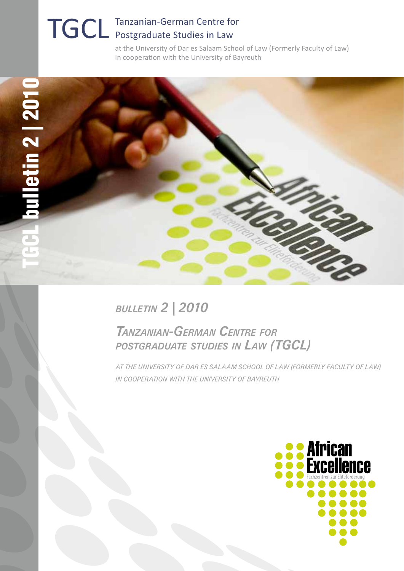# TGCL Tanzanian-German Centre for Postgraduate Studies in Law

at the University of Dar es Salaam School of Law (Formerly Faculty of Law) in cooperation with the University of Bayreuth



### *bulletin 2 | 2010*

### *Tanzanian-German Centre for postgraduate studies in Law (TGCL)*

*at the University of Dar es Salaam School of Law (Formerly Faculty of Law) in cooperation with the University of Bayreuth*

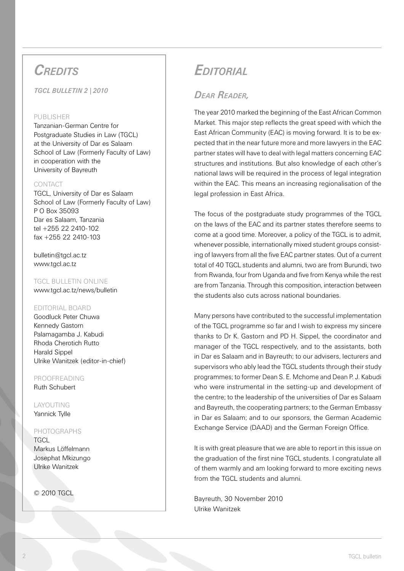### *Credits*

*TGCL bulletin 2 | 2010* 

#### PURLISHER

Tanzanian-German Centre for Postgraduate Studies in Law (TGCL) at the University of Dar es Salaam School of Law (Formerly Faculty of Law) in cooperation with the University of Bayreuth

#### CONTACT

TGCL, University of Dar es Salaam School of Law (Formerly Faculty of Law) P O Box 35093 Dar es Salaam, Tanzania tel +255 22 2410-102 fax +255 22 2410-103

bulletin@tgcl.ac.tz www.tgcl.ac.tz

#### TGCL BULLETIN ONLINE

www.tgcl.ac.tz/news/bulletin

#### Editorial Board

Goodluck Peter Chuwa Kennedy Gastorn Palamagamba J. Kabudi Rhoda Cherotich Rutto Harald Sippel Ulrike Wanitzek (editor-in-chief)

#### ProofReading Ruth Schubert

Layouting Yannick Tylle

#### Photographs

**TGCL** Markus Löffelmann Josephat Mkizungo Ulrike Wanitzek

© 2010 TGCL

### *Editorial*

#### *Dear Reader,*

The year 2010 marked the beginning of the East African Common Market. This major step reflects the great speed with which the East African Community (EAC) is moving forward. It is to be expected that in the near future more and more lawyers in the EAC partner states will have to deal with legal matters concerning EAC structures and institutions. But also knowledge of each other's national laws will be required in the process of legal integration within the EAC. This means an increasing regionalisation of the legal profession in East Africa.

The focus of the postgraduate study programmes of the TGCL on the laws of the EAC and its partner states therefore seems to come at a good time. Moreover, a policy of the TGCL is to admit, whenever possible, internationally mixed student groups consisting of lawyers from all the five EAC partner states. Out of a current total of 40 TGCL students and alumni, two are from Burundi, two from Rwanda, four from Uganda and five from Kenya while the rest are from Tanzania. Through this composition, interaction between the students also cuts across national boundaries.

Many persons have contributed to the successful implementation of the TGCL programme so far and I wish to express my sincere thanks to Dr K. Gastorn and PD H. Sippel, the coordinator and manager of the TGCL respectively, and to the assistants, both in Dar es Salaam and in Bayreuth; to our advisers, lecturers and supervisors who ably lead the TGCL students through their study programmes; to former Dean S. E. Mchome and Dean P. J. Kabudi who were instrumental in the setting-up and development of the centre; to the leadership of the universities of Dar es Salaam and Bayreuth, the cooperating partners; to the German Embassy in Dar es Salaam; and to our sponsors, the German Academic Exchange Service (DAAD) and the German Foreign Office.

It is with great pleasure that we are able to report in this issue on the graduation of the first nine TGCL students. I congratulate all of them warmly and am looking forward to more exciting news from the TGCL students and alumni.

Bayreuth, 30 November 2010 Ulrike Wanitzek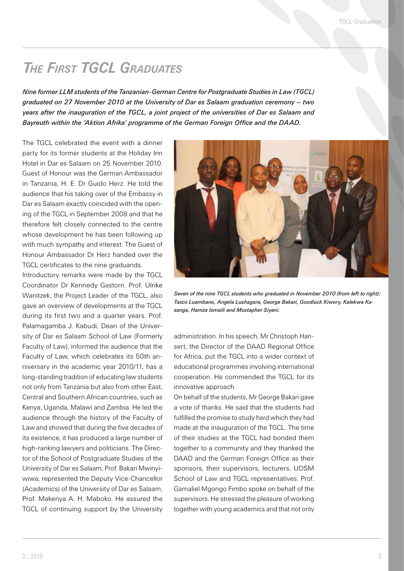### *The First TGCL Graduates*

*Nine former LLM students of the Tanzanian-German Centre for Postgraduate Studies in Law (TGCL) graduated on 27 November 2010 at the University of Dar es Salaam graduation ceremony – two years after the inauguration of the TGCL, a joint project of the universities of Dar es Salaam and Bayreuth within the 'Aktion Afrika' programme of the German Foreign Office and the DAAD.*

The TGCL celebrated the event with a dinner party for its former students at the Holiday Inn Hotel in Dar es Salaam on 25 November 2010. Guest of Honour was the German Ambassador in Tanzania, H. E. Dr Guido Herz. He told the audience that his taking over of the Embassy in Dar es Salaam exactly coincided with the opening of the TGCL in September 2008 and that he therefore felt closely connected to the centre whose development he has been following up with much sympathy and interest. The Guest of Honour Ambassador Dr Herz handed over the TGCL certificates to the nine graduands.

Introductory remarks were made by the TGCL Coordinator Dr Kennedy Gastorn. Prof. Ulrike Wanitzek, the Project Leader of the TGCL, also gave an overview of developments at the TGCL during its first two and a quarter years. Prof. Palamagamba J. Kabudi, Dean of the University of Dar es Salaam School of Law (Formerly Faculty of Law), informed the audience that the Faculty of Law, which celebrates its 50th anniversary in the academic year 2010/11, has a long-standing tradition of educating law students not only from Tanzania but also from other East, Central and Southern African countries, such as Kenya, Uganda, Malawi and Zambia. He led the audience through the history of the Faculty of Law and showed that during the five decades of its existence, it has produced a large number of high-ranking lawyers and politicians. The Director of the School of Postgraduate Studies of the University of Dar es Salaam, Prof. Bakari Mwinyiwiwa, represented the Deputy Vice-Chancellor (Academics) of the University of Dar es Salaam, Prof. Makenya A. H. Maboko. He assured the TGCL of continuing support by the University



*Seven of the nine TGCL students who graduated in November 2010 (from left to right): Tasco Luambano, Angela Lushagara, George Bakari, Goodluck Kiwory, Kalekwa Kasanga, Hamza Ismaili and Mustapher Siyani.*

administration. In his speech, Mr Christoph Hansert, the Director of the DAAD Regional Office for Africa, put the TGCL into a wider context of educational programmes involving international cooperation. He commended the TGCL for its innovative approach.

On behalf of the students, Mr George Bakari gave a vote of thanks. He said that the students had fulfilled the promise to study hard which they had made at the inauguration of the TGCL. The time of their studies at the TGCL had bonded them together to a community and they thanked the DAAD and the German Foreign Office as their sponsors, their supervisors, lecturers, UDSM School of Law and TGCL representatives. Prof. Gamaliel Mgongo Fimbo spoke on behalf of the supervisors. He stressed the pleasure of working together with young academics and that not only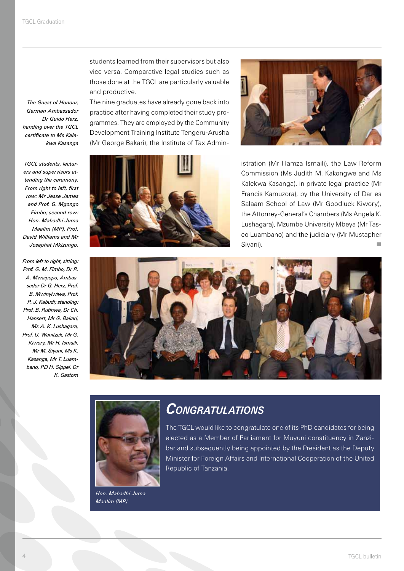*The Guest of Honour, German Ambassador Dr Guido Herz, handing over the TGCL certificate to Ms Kalekwa Kasanga* 

*TGCL students, lecturers and supervisors attending the ceremony. From right to left, first row: Mr Jesse James and Prof. G. Mgongo Fimbo; second row: Hon. Mahadhi Juma Maalim (MP), Prof. David Williams and Mr Josephat Mkizungo.*

*From left to right, sitting: Prof. G. M. Fimbo, Dr R. A. Mwaipopo, Ambassador Dr G. Herz, Prof. B. Mwinyiwiwa, Prof. P. J. Kabudi; standing: Prof. B. Rutinwa, Dr Ch. Hansert, Mr G. Bakari, Ms A. K. Lushagara, Prof. U. Wanitzek, Mr G. Kiwory, Mr H. Ismaili, Mr M. Siyani, Ms K. Kasanga, Mr T. Luambano, PD H. Sippel, Dr K. Gastorn*

students learned from their supervisors but also vice versa. Comparative legal studies such as those done at the TGCL are particularly valuable and productive.

The nine graduates have already gone back into practice after having completed their study programmes. They are employed by the Community Development Training Institute Tengeru-Arusha (Mr George Bakari), the Institute of Tax Admin-





istration (Mr Hamza Ismaili), the Law Reform Commission (Ms Judith M. Kakongwe and Ms Kalekwa Kasanga), in private legal practice (Mr Francis Kamuzora), by the University of Dar es Salaam School of Law (Mr Goodluck Kiwory), the Attorney-General's Chambers (Ms Angela K. Lushagara), Mzumbe University Mbeya (Mr Tasco Luambano) and the judiciary (Mr Mustapher Siyani).





*Hon. Mahadhi Juma Maalim (MP)* 

### *Congratulations*

The TGCL would like to congratulate one of its PhD candidates for being elected as a Member of Parliament for Muyuni constituency in Zanzibar and subsequently being appointed by the President as the Deputy Minister for Foreign Affairs and International Cooperation of the United Republic of Tanzania.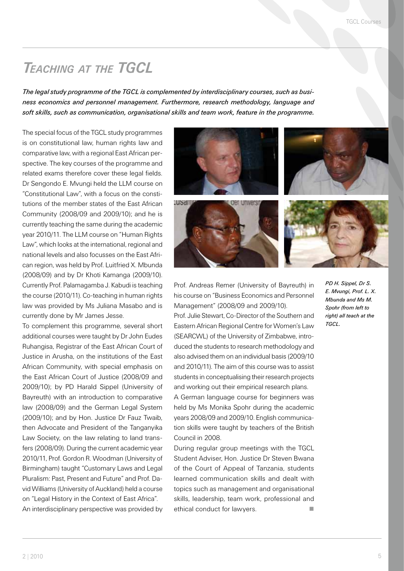### *Teaching at the TGCL*

*The legal study programme of the TGCL is complemented by interdisciplinary courses, such as business economics and personnel management. Furthermore, research methodology, language and soft skills, such as communication, organisational skills and team work, feature in the programme.* 

The special focus of the TGCL study programmes is on constitutional law, human rights law and comparative law, with a regional East African perspective. The key courses of the programme and related exams therefore cover these legal fields. Dr Sengondo E. Mvungi held the LLM course on "Constitutional Law", with a focus on the constitutions of the member states of the East African Community (2008/09 and 2009/10); and he is currently teaching the same during the academic year 2010/11. The LLM course on "Human Rights Law", which looks at the international, regional and national levels and also focusses on the East African region, was held by Prof. Luitfried X. Mbunda (2008/09) and by Dr Khoti Kamanga (2009/10). Currently Prof. Palamagamba J. Kabudi is teaching the course (2010/11). Co-teaching in human rights law was provided by Ms Juliana Masabo and is currently done by Mr James Jesse.

To complement this programme, several short additional courses were taught by Dr John Eudes Ruhangisa, Registrar of the East African Court of Justice in Arusha, on the institutions of the East African Community, with special emphasis on the East African Court of Justice (2008/09 and 2009/10); by PD Harald Sippel (University of Bayreuth) with an introduction to comparative law (2008/09) and the German Legal System (2009/10); and by Hon. Justice Dr Fauz Twaib, then Advocate and President of the Tanganyika Law Society, on the law relating to land transfers (2008/09). During the current academic year 2010/11, Prof. Gordon R. Woodman (University of Birmingham) taught "Customary Laws and Legal Pluralism: Past, Present and Future" and Prof. David Williams (University of Auckland) held a course on "Legal History in the Context of East Africa". An interdisciplinary perspective was provided by









Prof. Andreas Remer (University of Bayreuth) in his course on "Business Economics and Personnel Management" (2008/09 and 2009/10).

Prof. Julie Stewart, Co-Director of the Southern and Eastern African Regional Centre for Women's Law (SEARCWL) of the University of Zimbabwe, introduced the students to research methodology and also advised them on an individual basis (2009/10 and 2010/11). The aim of this course was to assist students in conceptualising their research projects and working out their empirical research plans.

A German language course for beginners was held by Ms Monika Spohr during the academic years 2008/09 and 2009/10. English communication skills were taught by teachers of the British Council in 2008.

During regular group meetings with the TGCL Student Adviser, Hon. Justice Dr Steven Bwana of the Court of Appeal of Tanzania, students learned communication skills and dealt with topics such as management and organisational skills, leadership, team work, professional and ethical conduct for lawyers.

*PD H. Sippel, Dr S. E. Mvungi, Prof. L. X. Mbunda and Ms M. Spohr (from left to right) all teach at the TGCL.*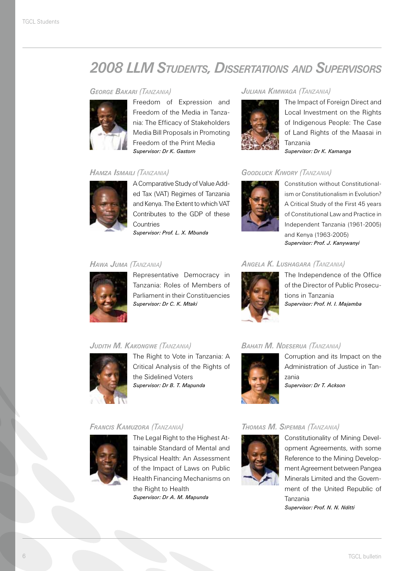### *2008 LLM Students, Dissertations and Supervisors*

#### *George Bakari (Tanzania)*



Freedom of Expression and Freedom of the Media in Tanzania: The Efficacy of Stakeholders Media Bill Proposals in Promoting Freedom of the Print Media *Supervisor: Dr K. Gastorn*

#### *Hamza Ismaili (Tanzania)*



A Comparative Study of Value Added Tax (VAT) Regimes of Tanzania and Kenya. The Extent to which VAT Contributes to the GDP of these **Countries** 

*Supervisor: Prof. L. X. Mbunda*

#### *Juliana Kimwaga (Tanzania)*



The Impact of Foreign Direct and Local Investment on the Rights of Indigenous People: The Case of Land Rights of the Maasai in Tanzania *Supervisor: Dr K. Kamanga*

#### *Goodluck Kiwory (Tanzania)*



Constitution without Constitutionalism or Constitutionalism in Evolution? A Critical Study of the First 45 years of Constitutional Law and Practice in Independent Tanzania (1961-2005) and Kenya (1963-2005) *Supervisor: Prof. J. Kanywanyi*

#### *Hawa Juma (Tanzania)*



Representative Democracy in Tanzania: Roles of Members of Parliament in their Constituencies *Supervisor: Dr C. K. Mtaki*

#### *Angela K. Lushagara (Tanzania)*



The Independence of the Office of the Director of Public Prosecutions in Tanzania *Supervisor: Prof. H. I. Majamba*

#### *Judith M. Kakongwe (Tanzania)*



The Right to Vote in Tanzania: A Critical Analysis of the Rights of the Sidelined Voters *Supervisor: Dr B. T. Mapunda*

#### *Bahati M. Ndeserua (Tanzania)*



Corruption and its Impact on the Administration of Justice in Tanzania *Supervisor: Dr T. Ackson*



The Legal Right to the Highest Attainable Standard of Mental and Physical Health: An Assessment of the Impact of Laws on Public Health Financing Mechanisms on the Right to Health *Supervisor: Dr A. M. Mapunda*

#### *Thomas M. Sipemba (Tanzania)*



Constitutionality of Mining Development Agreements, with some Reference to the Mining Development Agreement between Pangea Minerals Limited and the Government of the United Republic of Tanzania

*Supervisor: Prof. N. N. Nditti*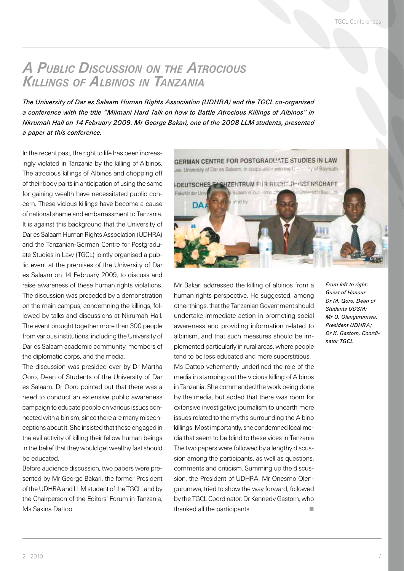### *A Public Discussion on the Atrocious Killings of Albinos in Tanzania*

*The University of Dar es Salaam Human Rights Association (UDHRA) and the TGCL co-organised a conference with the title "Mlimani Hard Talk on how to Battle Atrocious Killings of Albinos" in Nkrumah Hall on 14 February 2009. Mr George Bakari, one of the 2008 LLM students, presented a paper at this conference.*

In the recent past, the right to life has been increasingly violated in Tanzania by the killing of Albinos. The atrocious killings of Albinos and chopping off of their body parts in anticipation of using the same for gaining wealth have necessitated public concern. These vicious killings have become a cause of national shame and embarrassment to Tanzania. It is against this background that the University of Dar es Salaam Human Rights Association (UDHRA) and the Tanzanian-German Centre for Postgraduate Studies in Law (TGCL) jointly organised a public event at the premises of the University of Dar es Salaam on 14 February 2009, to discuss and raise awareness of these human rights violations. The discussion was preceded by a demonstration on the main campus, condemning the killings, followed by talks and discussions at Nkrumah Hall. The event brought together more than 300 people from various institutions, including the University of Dar es Salaam academic community, members of the diplomatic corps, and the media.

The discussion was presided over by Dr Martha Qoro, Dean of Students of the University of Dar es Salaam. Dr Qoro pointed out that there was a need to conduct an extensive public awareness campaign to educate people on various issues connected with albinism, since there are many misconceptions about it. She insisted that those engaged in the evil activity of killing their fellow human beings in the belief that they would get wealthy fast should be educated.

Before audience discussion, two papers were presented by Mr George Bakari, the former President of the UDHRA and LLM student of the TGCL, and by the Chairperson of the Editors' Forum in Tanzania, Ms Sakina Dattoo.



Mr Bakari addressed the killing of albinos from a human rights perspective. He suggested, among other things, that the Tanzanian Government should undertake immediate action in promoting social awareness and providing information related to albinism, and that such measures should be implemented particularly in rural areas, where people tend to be less educated and more superstitious.

Ms Dattoo vehemently underlined the role of the media in stamping out the vicious killing of Albinos in Tanzania. She commended the work being done by the media, but added that there was room for extensive investigative journalism to unearth more issues related to the myths surrounding the Albino killings. Most importantly, she condemned local media that seem to be blind to these vices in Tanzania The two papers were followed by a lengthy discussion among the participants, as well as questions, comments and criticism. Summing up the discussion, the President of UDHRA, Mr Onesmo Olengurumwa, tried to show the way forward, followed by the TGCL Coordinator, Dr Kennedy Gastorn, who thanked all the participants.

*From left to right: Guest of Honour Dr M. Qoro, Dean of Students UDSM; Mr O. Olengurumwa, President UDHRA; Dr K. Gastorn, Coordinator TGCL*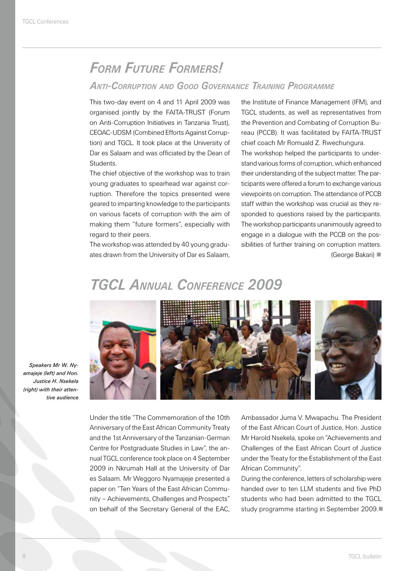### *Form Future Formers!*

#### *Anti-Corruption and Good Governance Training Programme*

This two-day event on 4 and 11 April 2009 was organised jointly by the FAITA-TRUST (Forum on Anti-Corruption Initiatives in Tanzania Trust), CEOAC-UDSM (Combined Efforts Against Corruption) and TGCL. It took place at the University of Dar es Salaam and was officiated by the Dean of Students.

The chief objective of the workshop was to train young graduates to spearhead war against corruption. Therefore the topics presented were geared to imparting knowledge to the participants on various facets of corruption with the aim of making them "future formers", especially with regard to their peers.

The workshop was attended by 40 young graduates drawn from the University of Dar es Salaam, the Institute of Finance Management (IFM), and TGCL students, as well as representatives from the Prevention and Combating of Corruption Bureau (PCCB). It was facilitated by FAITA-TRUST chief coach Mr Romuald Z. Rwechungura. The workshop helped the participants to understand various forms of corruption, which enhanced their understanding of the subject matter. The participants were offered a forum to exchange various viewpoints on corruption. The attendance of PCCB staff within the workshop was crucial as they responded to questions raised by the participants. The workshop participants unanimously agreed to engage in a dialogue with the PCCB on the possibilities of further training on corruption matters. (George Bakari)

### *TGCL Annual Conference 2009*



*Speakers Mr W. Nyamajeje (left) and Hon. Justice H. Nsekela (right) with their attentive audience*

Under the title "The Commemoration of the 10th Anniversary of the East African Community Treaty and the 1st Anniversary of the Tanzanian-German Centre for Postgraduate Studies in Law", the annual TGCL conference took place on 4 September 2009 in Nkrumah Hall at the University of Dar es Salaam. Mr Weggoro Nyamajeje presented a paper on "Ten Years of the East African Community – Achievements, Challenges and Prospects" on behalf of the Secretary General of the EAC, Ambassador Juma V. Mwapachu. The President of the East African Court of Justice, Hon. Justice Mr Harold Nsekela, spoke on "Achievements and Challenges of the East African Court of Justice under the Treaty for the Establishment of the East African Community".

During the conference, letters of scholarship were handed over to ten LLM students and five PhD students who had been admitted to the TGCL study programme starting in September 2009.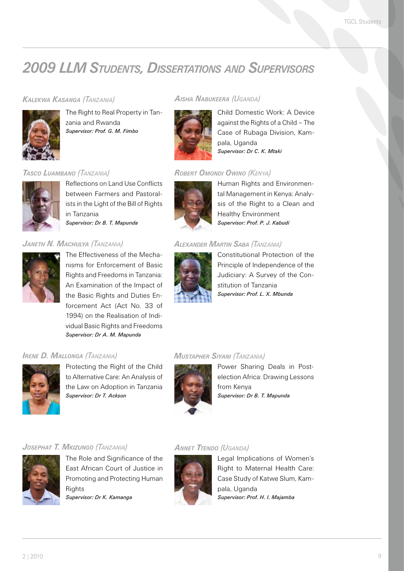### *2009 LLM Students, Dissertations and Supervisors*

#### *Kalekwa Kasanga (Tanzania)*



The Right to Real Property in Tanzania and Rwanda *Supervisor: Prof. G. M. Fimbo*

#### *Tasco Luambano (Tanzania)*



Reflections on Land Use Conflicts between Farmers and Pastoralists in the Light of the Bill of Rights in Tanzania *Supervisor: Dr B. T. Mapunda*

#### *Janeth N. Machulya (Tanzania)*



The Effectiveness of the Mechanisms for Enforcement of Basic Rights and Freedoms in Tanzania: An Examination of the Impact of the Basic Rights and Duties Enforcement Act (Act No. 33 of 1994) on the Realisation of Individual Basic Rights and Freedoms *Supervisor: Dr A. M. Mapunda*

#### *Irene D. Mallonga (Tanzania)*



Protecting the Right of the Child to Alternative Care: An Analysis of the Law on Adoption in Tanzania *Supervisor: Dr T. Ackson*

#### *Aisha Nabukeera (Uganda)*



Child Domestic Work: A Device against the Rights of a Child – The Case of Rubaga Division, Kampala, Uganda *Supervisor: Dr C. K. Mtaki*

#### *Robert Omondi Owino (Kenya)*



Human Rights and Environmental Management in Kenya: Analysis of the Right to a Clean and Healthy Environment *Supervisor: Prof. P. J. Kabudi*

#### *Alexander Martin Saba (Tanzania)*



Constitutional Protection of the Principle of Independence of the Judiciary: A Survey of the Constitution of Tanzania *Supervisor: Prof. L. X. Mbunda*

#### *Mustapher Siyani (Tanzania)*



Power Sharing Deals in Postelection Africa: Drawing Lessons from Kenya *Supervisor: Dr B. T. Mapunda*

#### *Josephat T. Mkizungo (Tanzania)*



The Role and Significance of the East African Court of Justice in Promoting and Protecting Human **Rights** *Supervisor: Dr K. Kamanga*

#### *Annet Ttendo (Uganda)*



Legal Implications of Women's Right to Maternal Health Care: Case Study of Katwe Slum, Kampala, Uganda *Supervisor: Prof. H. I. Majamba*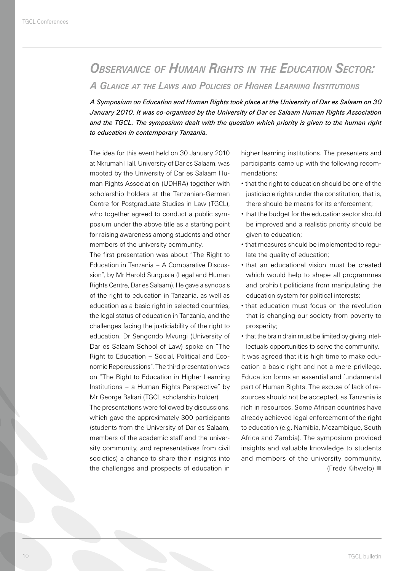## *Observance of Human Rights in the Education Sector:*

*A Glance at the Laws and Policies of Higher Learning Institutions*

*A Symposium on Education and Human Rights took place at the University of Dar es Salaam on 30 January 2010. It was co-organised by the University of Dar es Salaam Human Rights Association and the TGCL. The symposium dealt with the question which priority is given to the human right to education in contemporary Tanzania.*

The idea for this event held on 30 January 2010 at Nkrumah Hall, University of Dar es Salaam, was mooted by the University of Dar es Salaam Human Rights Association (UDHRA) together with scholarship holders at the Tanzanian-German Centre for Postgraduate Studies in Law (TGCL), who together agreed to conduct a public symposium under the above title as a starting point for raising awareness among students and other members of the university community.

The first presentation was about "The Right to Education in Tanzania – A Comparative Discussion", by Mr Harold Sungusia (Legal and Human Rights Centre, Dar es Salaam). He gave a synopsis of the right to education in Tanzania, as well as education as a basic right in selected countries, the legal status of education in Tanzania, and the challenges facing the justiciability of the right to education. Dr Sengondo Mvungi (University of Dar es Salaam School of Law) spoke on "The Right to Education – Social, Political and Economic Repercussions". The third presentation was on "The Right to Education in Higher Learning Institutions – a Human Rights Perspective" by Mr George Bakari (TGCL scholarship holder).

The presentations were followed by discussions, which gave the approximately 300 participants (students from the University of Dar es Salaam, members of the academic staff and the university community, and representatives from civil societies) a chance to share their insights into the challenges and prospects of education in

higher learning institutions. The presenters and participants came up with the following recommendations:

- that the right to education should be one of the justiciable rights under the constitution, that is, there should be means for its enforcement;
- that the budget for the education sector should be improved and a realistic priority should be given to education;
- that measures should be implemented to regulate the quality of education;
- that an educational vision must be created which would help to shape all programmes and prohibit politicians from manipulating the education system for political interests;
- that education must focus on the revolution that is changing our society from poverty to prosperity;
- that the brain drain must be limited by giving intellectuals opportunities to serve the community. It was agreed that it is high time to make education a basic right and not a mere privilege. Education forms an essential and fundamental part of Human Rights. The excuse of lack of resources should not be accepted, as Tanzania is rich in resources. Some African countries have already achieved legal enforcement of the right to education (e.g. Namibia, Mozambique, South Africa and Zambia). The symposium provided insights and valuable knowledge to students and members of the university community. (Fredy Kihwelo)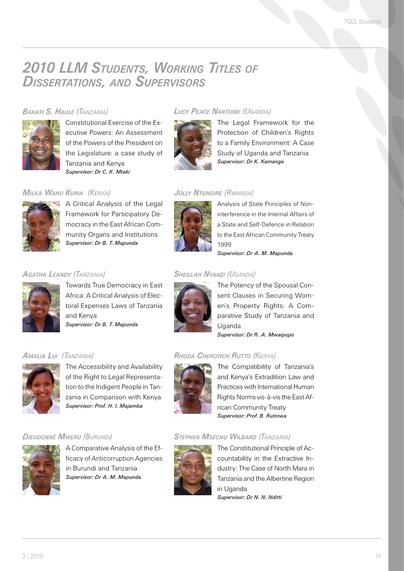### *2010 LLM Students, Working Titles of Dissertations, and Supervisors*

#### *Bahati S. Haule (Tanzania)*



Constitutional Exercise of the Executive Powers: An Assessment of the Powers of the President on the Legislature: a case study of Tanzania and Kenya *Supervisor: Dr C. K. Mtaki*

#### *Milka Wahu Kuria (Kenya)*



A Critical Analysis of the Legal Framework for Participatory Democracy in the East African Community Organs and Institutions *Supervisor: Dr B. T. Mapunda*

#### *Agatha Leandy (Tanzania)*



Towards True Democracy in East Africa: A Critical Analysis of Electoral Expenses Laws of Tanzania and Kenya *Supervisor: Dr B. T. Mapunda*

#### *Amalia Lui (Tanzania)*



The Accessibility and Availability of the Right to Legal Representation to the Indigent People in Tanzania in Comparison with Kenya *Supervisor: Prof. H. I. Majamba*

#### *Dieudonné Mweru (Burundi)*



A Comparative Analysis of the Efficacy of Anticorruption Agencies in Burundi and Tanzania *Supervisor: Dr A. M. Mapunda*

#### *Lucy Peace Nantume (Uganda)*



The Legal Framework for the Protection of Children's Rights to a Family Environment: A Case Study of Uganda and Tanzania *Supervisor: Dr K. Kamanga*

#### *Jolly Ntungire (Rwanda)*



Analysis of State Principles of Noninterference in the Internal Affairs of a State and Self-Defence in Relation to the East African Community Treaty 1999

*Supervisor: Dr A. M. Mapunda*

#### *Sheillah Nyanzi (Uganda)*



The Potency of the Spousal Consent Clauses in Securing Women's Property Rights: A Comparative Study of Tanzania and Uganda *Supervisor: Dr R. A. Mwaipopo*

#### *Rhoda Cherotich Rutto (Kenya)*



The Compatibility of Tanzania's and Kenya's Extradition Law and Practices with International Human Rights Norms vis-à-vis the East African Community Treaty *Supervisor: Prof. B. Rutinwa*

#### *Stephen Msechu Wilbard (Tanzania)*



The Constitutional Principle of Accountability in the Extractive Industry: The Case of North Mara in Tanzania and the Albertine Region in Uganda *Supervisor: Dr N. N. Nditti*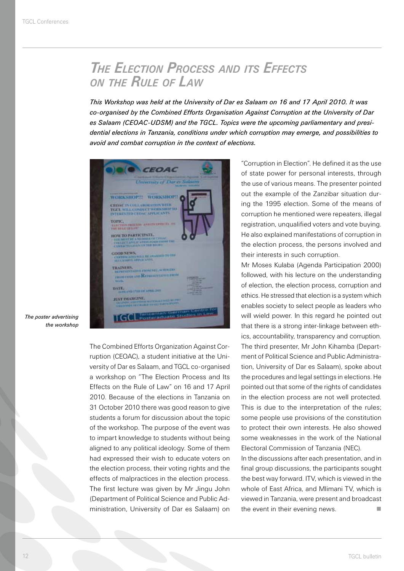### *The Election Process and its Effects on the Rule of Law*

*This Workshop was held at the University of Dar es Salaam on 16 and 17 April 2010. It was co-organised by the Combined Efforts Organisation Against Corruption at the University of Dar es Salaam (CEOAC-UDSM) and the TGCL. Topics were the upcoming parliamentary and presidential elections in Tanzania, conditions under which corruption may emerge, and possibilities to avoid and combat corruption in the context of elections.*

**CEOAC University of Dar es Sale** WORKSHOPEL WORKSHOPE **CEOAC IN COLLABORATION WITH TGCL WILL CONDUCT WORKSHOP TO**<br>INTERESTED CROAT APPLICANTS TOPIC. **VAVELTS (III** HOW TO PARTICIPATE, COUR NEWS<br>COUR NEWS WAS ARRESTED FOR THE ASSESSMENT TO THE TRAINIRS, CONTROL & BOAT NECESSION **CHOME SHOW AND REPRESENTATION** DATE, AND 1770 OF STREET JUST IMARGINE. TGCL Post

*The poster advertising the workshop*

> The Combined Efforts Organization Against Corruption (CEOAC), a student initiative at the University of Dar es Salaam, and TGCL co-organised a workshop on "The Election Process and Its Effects on the Rule of Law" on 16 and 17 April 2010. Because of the elections in Tanzania on 31 October 2010 there was good reason to give students a forum for discussion about the topic of the workshop. The purpose of the event was to impart knowledge to students without being aligned to any political ideology. Some of them had expressed their wish to educate voters on the election process, their voting rights and the effects of malpractices in the election process. The first lecture was given by Mr Jingu John (Department of Political Science and Public Administration, University of Dar es Salaam) on

"Corruption in Election". He defined it as the use of state power for personal interests, through the use of various means. The presenter pointed out the example of the Zanzibar situation during the 1995 election. Some of the means of corruption he mentioned were repeaters, illegal registration, unqualified voters and vote buying. He also explained manifestations of corruption in the election process, the persons involved and their interests in such corruption.

Mr Moses Kulaba (Agenda Participation 2000) followed, with his lecture on the understanding of election, the election process, corruption and ethics. He stressed that election is a system which enables society to select people as leaders who will wield power. In this regard he pointed out that there is a strong inter-linkage between ethics, accountability, transparency and corruption. The third presenter, Mr John Kihamba (Department of Political Science and Public Administration, University of Dar es Salaam), spoke about the procedures and legal settings in elections. He pointed out that some of the rights of candidates in the election process are not well protected. This is due to the interpretation of the rules; some people use provisions of the constitution to protect their own interests. He also showed some weaknesses in the work of the National Electoral Commission of Tanzania (NEC).

In the discussions after each presentation, and in final group discussions, the participants sought the best way forward. ITV, which is viewed in the whole of East Africa, and Mlimani TV, which is viewed in Tanzania, were present and broadcast the event in their evening news.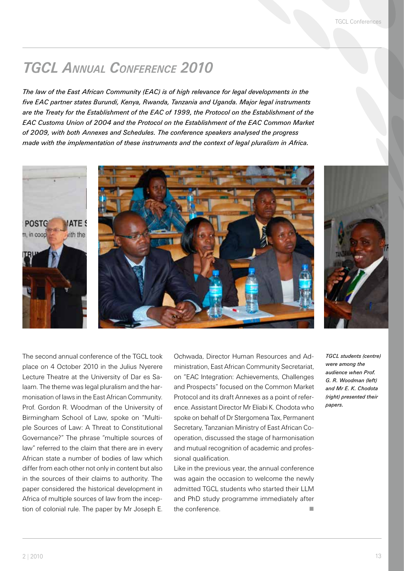### *TGCL Annual Conference 2010*

*The law of the East African Community (EAC) is of high relevance for legal developments in the five EAC partner states Burundi, Kenya, Rwanda, Tanzania and Uganda. Major legal instruments are the Treaty for the Establishment of the EAC of 1999, the Protocol on the Establishment of the EAC Customs Union of 2004 and the Protocol on the Establishment of the EAC Common Market of 2009, with both Annexes and Schedules. The conference speakers analysed the progress made with the implementation of these instruments and the context of legal pluralism in Africa.*



The second annual conference of the TGCL took place on 4 October 2010 in the Julius Nyerere Lecture Theatre at the University of Dar es Salaam. The theme was legal pluralism and the harmonisation of laws in the East African Community. Prof. Gordon R. Woodman of the University of Birmingham School of Law, spoke on "Multiple Sources of Law: A Threat to Constitutional Governance?" The phrase "multiple sources of law" referred to the claim that there are in every African state a number of bodies of law which differ from each other not only in content but also in the sources of their claims to authority. The paper considered the historical development in Africa of multiple sources of law from the inception of colonial rule. The paper by Mr Joseph E.

Ochwada, Director Human Resources and Administration, East African Community Secretariat, on "EAC Integration: Achievements, Challenges and Prospects" focused on the Common Market Protocol and its draft Annexes as a point of reference. Assistant Director Mr Eliabi K. Chodota who spoke on behalf of Dr Stergomena Tax, Permanent Secretary, Tanzanian Ministry of East African Cooperation, discussed the stage of harmonisation and mutual recognition of academic and professional qualification.

Like in the previous year, the annual conference was again the occasion to welcome the newly admitted TGCL students who started their LLM and PhD study programme immediately after the conference.

*TGCL students (centre) were among the audience when Prof. G. R. Woodman (left) and Mr E. K. Chodota (right) presented their papers.*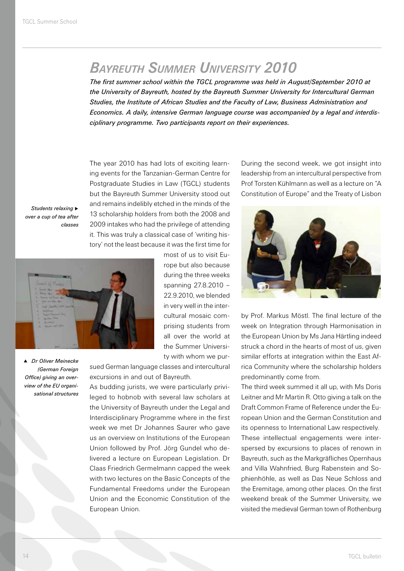### *Bayreuth Summer University 2010*

*The first summer school within the TGCL programme was held in August/September 2010 at the University of Bayreuth, hosted by the Bayreuth Summer University for Intercultural German Studies, the Institute of African Studies and the Faculty of Law, Business Administration and Economics. A daily, intensive German language course was accompanied by a legal and interdisciplinary programme. Two participants report on their experiences.*

The year 2010 has had lots of exciting learning events for the Tanzanian-German Centre for Postgraduate Studies in Law (TGCL) students but the Bayreuth Summer University stood out and remains indelibly etched in the minds of the 13 scholarship holders from both the 2008 and 2009 intakes who had the privilege of attending it. This was truly a classical case of 'writing history' not the least because it was the first time for

**Students relaxing**  $\blacktriangleright$ *over a cup of tea after classes*



p *Dr Oliver Meinecke (German Foreign Office) giving an overview of the EU organisational structures*

most of us to visit Europe but also because during the three weeks spanning 27.8.2010 – 22.9.2010, we blended in very well in the intercultural mosaic comprising students from all over the world at the Summer University with whom we pur-

sued German language classes and intercultural excursions in and out of Bayreuth.

As budding jurists, we were particularly privileged to hobnob with several law scholars at the University of Bayreuth under the Legal and Interdisciplinary Programme where in the first week we met Dr Johannes Saurer who gave us an overview on Institutions of the European Union followed by Prof. Jörg Gundel who delivered a lecture on European Legislation. Dr Claas Friedrich Germelmann capped the week with two lectures on the Basic Concepts of the Fundamental Freedoms under the European Union and the Economic Constitution of the European Union.

During the second week, we got insight into leadership from an intercultural perspective from Prof Torsten Kühlmann as well as a lecture on "A Constitution of Europe" and the Treaty of Lisbon



by Prof. Markus Möstl. The final lecture of the week on Integration through Harmonisation in the European Union by Ms Jana Härtling indeed struck a chord in the hearts of most of us, given similar efforts at integration within the East Africa Community where the scholarship holders predominantly come from.

The third week summed it all up, with Ms Doris Leitner and Mr Martin R. Otto giving a talk on the Draft Common Frame of Reference under the European Union and the German Constitution and its openness to International Law respectively. These intellectual engagements were interspersed by excursions to places of renown in Bayreuth, such as the Markgräfliches Opernhaus and Villa Wahnfried, Burg Rabenstein and Sophienhöhle, as well as Das Neue Schloss and the Eremitage, among other places. On the first weekend break of the Summer University, we visited the medieval German town of Rothenburg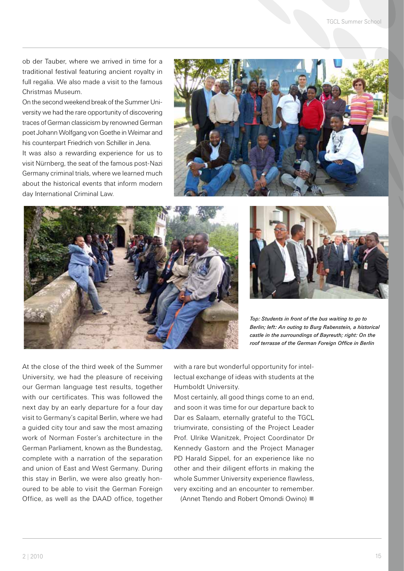ob der Tauber, where we arrived in time for a traditional festival featuring ancient royalty in full regalia. We also made a visit to the famous Christmas Museum.

On the second weekend break of the Summer University we had the rare opportunity of discovering traces of German classicism by renowned German poet Johann Wolfgang von Goethe in Weimar and his counterpart Friedrich von Schiller in Jena. It was also a rewarding experience for us to visit Nürnberg, the seat of the famous post-Nazi Germany criminal trials, where we learned much

about the historical events that inform modern

day International Criminal Law.







*Top: Students in front of the bus waiting to go to Berlin; left: An outing to Burg Rabenstein, a historical castle in the surroundings of Bayreuth; right: On the roof terrasse of the German Foreign Office in Berlin*

At the close of the third week of the Summer University, we had the pleasure of receiving our German language test results, together with our certificates. This was followed the next day by an early departure for a four day visit to Germany's capital Berlin, where we had a guided city tour and saw the most amazing work of Norman Foster's architecture in the German Parliament, known as the Bundestag, complete with a narration of the separation and union of East and West Germany. During this stay in Berlin, we were also greatly honoured to be able to visit the German Foreign Office, as well as the DAAD office, together

with a rare but wonderful opportunity for intellectual exchange of ideas with students at the Humboldt University.

Most certainly, all good things come to an end, and soon it was time for our departure back to Dar es Salaam, eternally grateful to the TGCL triumvirate, consisting of the Project Leader Prof. Ulrike Wanitzek, Project Coordinator Dr Kennedy Gastorn and the Project Manager PD Harald Sippel, for an experience like no other and their diligent efforts in making the whole Summer University experience flawless, very exciting and an encounter to remember.

(Annet Ttendo and Robert Omondi Owino)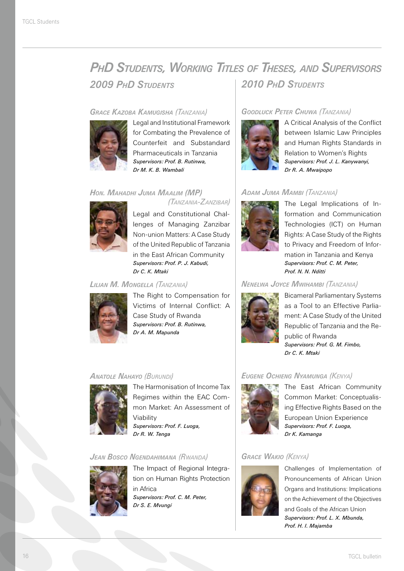### *PhD Students, Working Titles of Theses, and Supervisors 2009 PhD Students 2010 PhD Students*

#### *Grace Kazoba Kamugisha (Tanzania)*



Legal and Institutional Framework for Combating the Prevalence of Counterfeit and Substandard Pharmaceuticals in Tanzania *Supervisors: Prof. B. Rutinwa, Dr M. K. B. Wambali* 

#### *Hon. Mahadhi Juma Maalim (MP)*



 *(Tanzania-Zanzibar)* Legal and Constitutional Challenges of Managing Zanzibar

Non-union Matters: A Case Study of the United Republic of Tanzania in the East African Community *Supervisors: Prof. P. J. Kabudi, Dr C. K. Mtaki*

#### *Lilian M. Mongella (Tanzania)*



The Right to Compensation for Victims of Internal Conflict: A Case Study of Rwanda *Supervisors: Prof. B. Rutinwa, Dr A. M. Mapunda* 

#### *Anatole Nahayo (Burundi)*



The Harmonisation of Income Tax Regimes within the EAC Common Market: An Assessment of Viability *Supervisors: Prof. F. Luoga, Dr R. W. Tenga*

#### *Jean Bosco Ngendahimana (Rwanda)*



The Impact of Regional Integration on Human Rights Protection in Africa *Supervisors: Prof. C. M. Peter, Dr S. E. Mvungi*

#### *Goodluck Peter Chuwa (Tanzania)*



A Critical Analysis of the Conflict between Islamic Law Principles and Human Rights Standards in Relation to Women's Rights *Supervisors: Prof. J. L. Kanywanyi, Dr R. A. Mwaipopo*

#### *Adam Juma Mambi (Tanzania)*



The Legal Implications of Information and Communication Technologies (ICT) on Human Rights: A Case Study of the Rights to Privacy and Freedom of Information in Tanzania and Kenya *Supervisors: Prof. C. M. Peter, Prof. N. N. Nditti*

#### *Nenelwa Joyce Mwihambi (Tanzania)*



Bicameral Parliamentary Systems as a Tool to an Effective Parliament: A Case Study of the United Republic of Tanzania and the Republic of Rwanda *Supervisors: Prof. G. M. Fimbo, Dr C. K. Mtaki*

#### *Eugene Ochieng Nyamunga (Kenya)*



The East African Community Common Market: Conceptualising Effective Rights Based on the European Union Experience *Supervisors: Prof. F. Luoga, Dr K. Kamanga*

#### *Grace Wakio (Kenya)*



Challenges of Implementation of Pronouncements of African Union Organs and Institutions: Implications on the Achievement of the Objectives and Goals of the African Union *Supervisors: Prof. L. X. Mbunda, Prof. H. I. Majamba*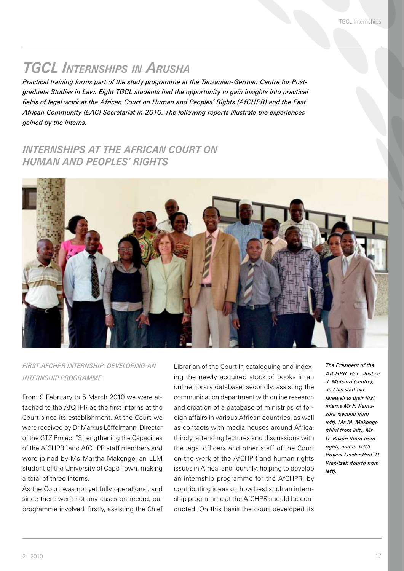### *TGCL Internships in Arusha*

*Practical training forms part of the study programme at the Tanzanian-German Centre for Postgraduate Studies in Law. Eight TGCL students had the opportunity to gain insights into practical fields of legal work at the African Court on Human and Peoples' Rights (AfCHPR) and the East African Community (EAC) Secretariat in 2010. The following reports illustrate the experiences gained by the interns.*

### *INTERNSHIPS AT THE AFRICAN COURT ON HUMAN AND PEOPLES' RIGHTS*



#### *First AfCHPR Internship: Developing an Internship Programme*

From 9 February to 5 March 2010 we were attached to the AfCHPR as the first interns at the Court since its establishment. At the Court we were received by Dr Markus Löffelmann, Director of the GTZ Project "Strengthening the Capacities of the AfCHPR" and AfCHPR staff members and were joined by Ms Martha Makenge, an LLM student of the University of Cape Town, making a total of three interns.

As the Court was not yet fully operational, and since there were not any cases on record, our programme involved, firstly, assisting the Chief Librarian of the Court in cataloguing and indexing the newly acquired stock of books in an online library database; secondly, assisting the communication department with online research and creation of a database of ministries of foreign affairs in various African countries, as well as contacts with media houses around Africa; thirdly, attending lectures and discussions with the legal officers and other staff of the Court on the work of the AfCHPR and human rights issues in Africa; and fourthly, helping to develop an internship programme for the AfCHPR, by contributing ideas on how best such an internship programme at the AfCHPR should be conducted. On this basis the court developed its

*The President of the AfCHPR, Hon. Justice J. Mutsinzi (centre), and his staff bid farewell to their first interns Mr F. Kamuzora (second from left), Ms M. Makenge (third from left), Mr G. Bakari (third from right), and to TGCL Project Leader Prof. U. Wanitzek (fourth from left).*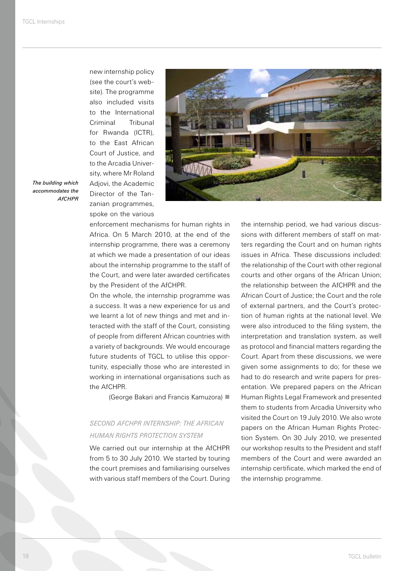new internship policy (see the court's website). The programme also included visits to the International Criminal Tribunal for Rwanda (ICTR), to the East African Court of Justice, and to the Arcadia University, where Mr Roland Adjovi, the Academic Director of the Tanzanian programmes, spoke on the various



*The building which accommodates the AfCHPR*

> enforcement mechanisms for human rights in Africa. On 5 March 2010, at the end of the internship programme, there was a ceremony at which we made a presentation of our ideas about the internship programme to the staff of the Court, and were later awarded certificates by the President of the AfCHPR.

> On the whole, the internship programme was a success. It was a new experience for us and we learnt a lot of new things and met and interacted with the staff of the Court, consisting of people from different African countries with a variety of backgrounds. We would encourage future students of TGCL to utilise this opportunity, especially those who are interested in working in international organisations such as the AfCHPR.

> > (George Bakari and Francis Kamuzora)

#### *Second AfCHPR Internship: The African Human Rights Protection System*

We carried out our internship at the AfCHPR from 5 to 30 July 2010. We started by touring the court premises and familiarising ourselves with various staff members of the Court. During

the internship period, we had various discussions with different members of staff on matters regarding the Court and on human rights issues in Africa. These discussions included: the relationship of the Court with other regional courts and other organs of the African Union; the relationship between the AfCHPR and the African Court of Justice; the Court and the role of external partners, and the Court's protection of human rights at the national level. We were also introduced to the filing system, the interpretation and translation system, as well as protocol and financial matters regarding the Court. Apart from these discussions, we were given some assignments to do; for these we had to do research and write papers for presentation. We prepared papers on the African Human Rights Legal Framework and presented them to students from Arcadia University who visited the Court on 19 July 2010. We also wrote papers on the African Human Rights Protection System. On 30 July 2010, we presented our workshop results to the President and staff members of the Court and were awarded an internship certificate, which marked the end of the internship programme.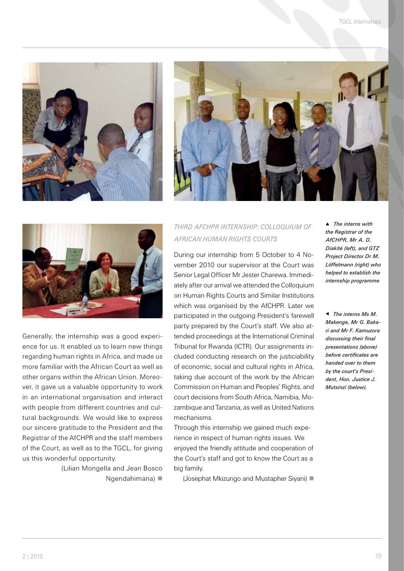





Generally, the internship was a good experience for us. It enabled us to learn new things regarding human rights in Africa, and made us more familiar with the African Court as well as other organs within the African Union. Moreover, it gave us a valuable opportunity to work in an international organisation and interact with people from different countries and cultural backgrounds. We would like to express our sincere gratitude to the President and the Registrar of the AfCHPR and the staff members of the Court, as well as to the TGCL, for giving us this wonderful opportunity.

> (Lilian Mongella and Jean Bosco Ngendahimana)

#### *Third AfCHPR Internship: Colloquium of African Human Rights Courts*

During our internship from 5 October to 4 November 2010 our supervisor at the Court was Senior Legal Officer Mr Jester Charewa. Immediately after our arrival we attended the Colloquium on Human Rights Courts and Similar Institutions which was organised by the AfCHPR. Later we participated in the outgoing President's farewell party prepared by the Court's staff. We also attended proceedings at the International Criminal Tribunal for Rwanda (ICTR). Our assignments included conducting research on the justiciability of economic, social and cultural rights in Africa, taking due account of the work by the African Commission on Human and Peoples' Rights, and court decisions from South Africa, Namibia, Mozambique and Tanzania, as well as United Nations mechanisms.

Through this internship we gained much experience in respect of human rights issues. We enjoyed the friendly attitude and cooperation of the Court's staff and got to know the Court as a big family.

(Josephat Mkizungo and Mustapher Siyani)

p *The interns with the Registrar of the AfCHPR, Mr A. D. Diakité (left), and GTZ Project Director Dr M. Löffelmann (right) who helped to establish the internship programme*

t *The interns Ms M. Makenge, Mr G. Bakari and Mr F. Kamuzora discussing their final presentations (above) before certificates are handed over to them by the court's President, Hon. Justice J. Mutsinzi (below).*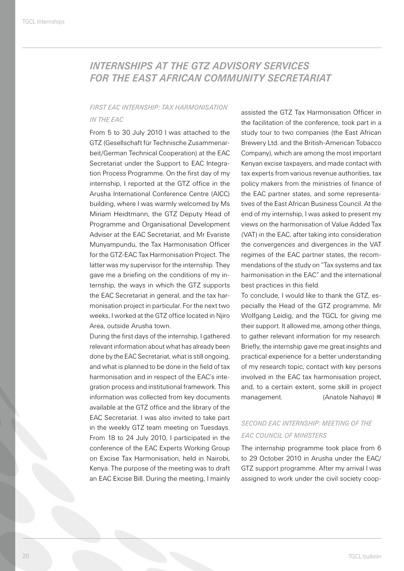### *INTERNSHIPS AT THE GTZ ADVISORY SERVICES FOR THE EAST AFRICAN COMMUNITY SECRETARIAT*

#### *First EAC Internship: Tax Harmonisation in the EAC*

From 5 to 30 July 2010 I was attached to the GTZ (Gesellschaft für Technische Zusammenarbeit/German Technical Cooperation) at the EAC Secretariat under the Support to EAC Integration Process Programme. On the first day of my internship, I reported at the GTZ office in the Arusha International Conference Centre (AICC) building, where I was warmly welcomed by Ms Miriam Heidtmann, the GTZ Deputy Head of Programme and Organisational Development Adviser at the EAC Secretariat, and Mr Evariste Munyampundu, the Tax Harmonisation Officer for the GTZ-EAC Tax Harmonisation Project. The latter was my supervisor for the internship. They gave me a briefing on the conditions of my internship, the ways in which the GTZ supports the EAC Secretariat in general, and the tax harmonisation project in particular. For the next two weeks, I worked at the GTZ office located in Njiro Area, outside Arusha town.

During the first days of the internship, I gathered relevant information about what has already been done by the EAC Secretariat, what is still ongoing, and what is planned to be done in the field of tax harmonisation and in respect of the EAC's integration process and institutional framework. This information was collected from key documents available at the GTZ office and the library of the EAC Secretariat. I was also invited to take part in the weekly GTZ team meeting on Tuesdays. From 18 to 24 July 2010, I participated in the conference of the EAC Experts Working Group on Excise Tax Harmonisation, held in Nairobi, Kenya. The purpose of the meeting was to draft an EAC Excise Bill. During the meeting, I mainly assisted the GTZ Tax Harmonisation Officer in the facilitation of the conference, took part in a study tour to two companies (the East African Brewery Ltd. and the British-American Tobacco Company), which are among the most important Kenyan excise taxpayers, and made contact with tax experts from various revenue authorities, tax policy makers from the ministries of finance of the EAC partner states, and some representatives of the East African Business Council. At the end of my internship, I was asked to present my views on the harmonisation of Value Added Tax (VAT) in the EAC, after taking into consideration the convergences and divergences in the VAT regimes of the EAC partner states, the recommendations of the study on "Tax systems and tax harmonisation in the EAC" and the international best practices in this field.

To conclude, I would like to thank the GTZ, especially the Head of the GTZ programme, Mr Wolfgang Leidig, and the TGCL for giving me their support. It allowed me, among other things, to gather relevant information for my research. Briefly, the internship gave me great insights and practical experience for a better understanding of my research topic, contact with key persons involved in the EAC tax harmonisation project, and, to a certain extent, some skill in project management. (Anatole Nahayo) ■

#### *Second EAC Internship: Meeting of the EAC Council of Ministers*

The internship programme took place from 6 to 29 October 2010 in Arusha under the EAC/ GTZ support programme. After my arrival I was assigned to work under the civil society coop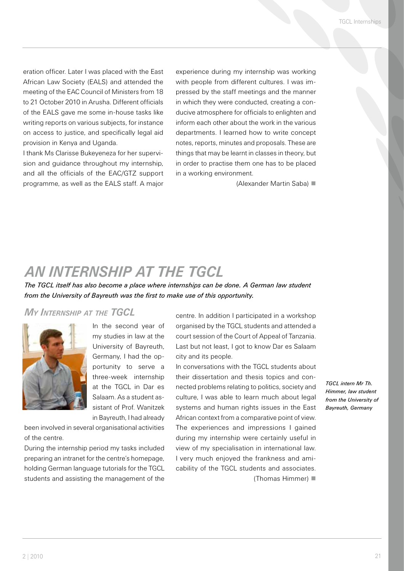eration officer. Later I was placed with the East African Law Society (EALS) and attended the meeting of the EAC Council of Ministers from 18 to 21 October 2010 in Arusha. Different officials of the EALS gave me some in-house tasks like writing reports on various subjects, for instance on access to justice, and specifically legal aid provision in Kenya and Uganda.

I thank Ms Clarisse Bukeyeneza for her supervision and guidance throughout my internship, and all the officials of the EAC/GTZ support programme, as well as the EALS staff. A major

experience during my internship was working with people from different cultures. I was impressed by the staff meetings and the manner in which they were conducted, creating a conducive atmosphere for officials to enlighten and inform each other about the work in the various departments. I learned how to write concept notes, reports, minutes and proposals. These are things that may be learnt in classes in theory, but in order to practise them one has to be placed in a working environment.

(Alexander Martin Saba)

### *AN INTERNSHIP AT THE TGCL*

*The TGCL itself has also become a place where internships can be done. A German law student from the University of Bayreuth was the first to make use of this opportunity.* 

#### *My Internship at the TGCL*



In the second year of my studies in law at the University of Bayreuth, Germany, I had the opportunity to serve a three-week internship at the TGCL in Dar es Salaam. As a student assistant of Prof. Wanitzek in Bayreuth, I had already

been involved in several organisational activities of the centre.

During the internship period my tasks included preparing an intranet for the centre's homepage, holding German language tutorials for the TGCL students and assisting the management of the

centre. In addition I participated in a workshop organised by the TGCL students and attended a court session of the Court of Appeal of Tanzania. Last but not least, I got to know Dar es Salaam city and its people.

In conversations with the TGCL students about their dissertation and thesis topics and connected problems relating to politics, society and culture, I was able to learn much about legal systems and human rights issues in the East African context from a comparative point of view. The experiences and impressions I gained during my internship were certainly useful in view of my specialisation in international law. I very much enjoyed the frankness and amicability of the TGCL students and associates. (Thomas Himmer)

*TGCL intern Mr Th. Himmer, law student from the University of Bayreuth, Germany*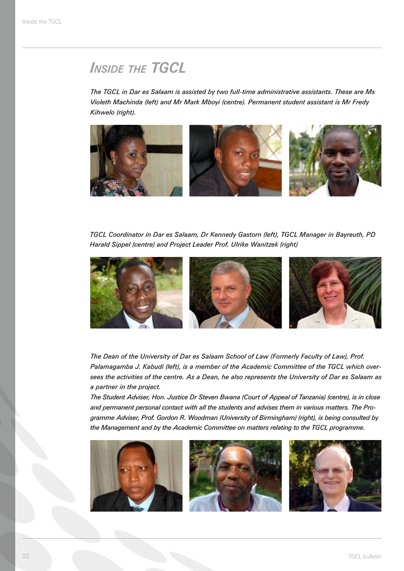### **INSIDE THE TGCL**

*The TGCL in Dar es Salaam is assisted by two full-time administrative assistants. These are Ms Violeth Machinda (left) and Mr Mark Mboyi (centre). Permanent student assistant is Mr Fredy Kihwelo (right).*



*TGCL Coordinator in Dar es Salaam, Dr Kennedy Gastorn (left), TGCL Manager in Bayreuth, PD Harald Sippel (centre) and Project Leader Prof. Ulrike Wanitzek (right)*



*The Dean of the University of Dar es Salaam School of Law (Formerly Faculty of Law), Prof. Palamagamba J. Kabudi (left), is a member of the Academic Committee of the TGCL which oversees the activities of the centre. As a Dean, he also represents the University of Dar es Salaam as a partner in the project.*

*The Student Adviser, Hon. Justice Dr Steven Bwana (Court of Appeal of Tanzania) (centre), is in close and permanent personal contact with all the students and advises them in various matters. The Programme Adviser, Prof. Gordon R. Woodman (University of Birmingham) (right), is being consulted by the Management and by the Academic Committee on matters relating to the TGCL programme.*





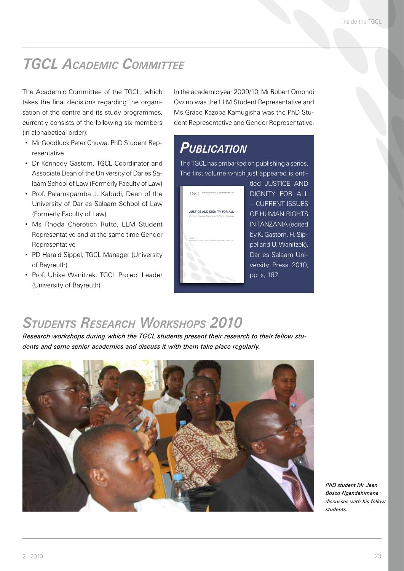### *TGCL Academic Committee*

The Academic Committee of the TGCL, which takes the final decisions regarding the organisation of the centre and its study programmes, currently consists of the following six members (in alphabetical order):

- Mr Goodluck Peter Chuwa, PhD Student Representative
- Dr Kennedy Gastorn, TGCL Coordinator and Associate Dean of the University of Dar es Salaam School of Law (Formerly Faculty of Law)
- Prof. Palamagamba J. Kabudi, Dean of the University of Dar es Salaam School of Law (Formerly Faculty of Law)
- . Ms Rhoda Cherotich Rutto, LLM Student Representative and at the same time Gender Representative
- PD Harald Sippel, TGCL Manager (University of Bayreuth)
- **Prof. Ulrike Wanitzek, TGCL Project Leader** (University of Bayreuth)

In the academic year 2009/10, Mr Robert Omondi Owino was the LLM Student Representative and Ms Grace Kazoba Kamugisha was the PhD Student Representative and Gender Representative.

### *Publication*

The TGCL has embarked on publishing a series. The first volume which just appeared is enti-



tled JUSTICE AND DIGNITY FOR ALL – CURRENT ISSUES OF HUMAN RIGHTS IN TANZANIA (edited by K. Gastorn, H. Sippel and U. Wanitzek), Dar es Salaam University Press 2010, pp. x, 162.

### *Students Research Workshops 2010*

*Research workshops during which the TGCL students present their research to their fellow students and some senior academics and discuss it with them take place regularly.*

**JUSTICE AND DIGNITY FOR ALL** HARALD SIPPEL AND ULRIKE WANITZEK EDITED By KENNEDy GASTORN,

**DUP**



*PhD student Mr Jean Bosco Ngendahimana discusses with his fellow students.*